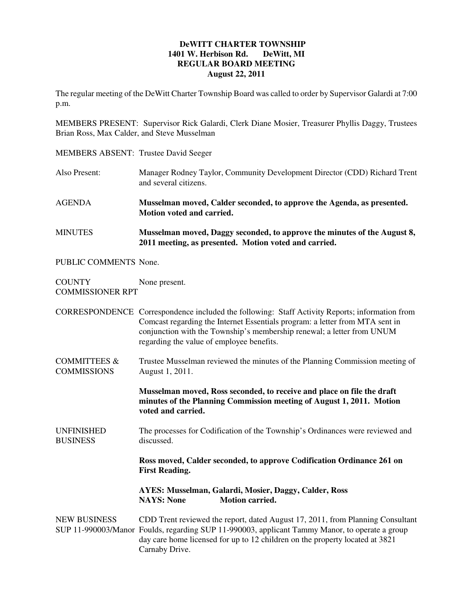## **DeWITT CHARTER TOWNSHIP 1401 W. Herbison Rd. DeWitt, MI REGULAR BOARD MEETING August 22, 2011**

The regular meeting of the DeWitt Charter Township Board was called to order by Supervisor Galardi at 7:00 p.m.

MEMBERS PRESENT: Supervisor Rick Galardi, Clerk Diane Mosier, Treasurer Phyllis Daggy, Trustees Brian Ross, Max Calder, and Steve Musselman

- MEMBERS ABSENT: Trustee David Seeger
- Also Present: Manager Rodney Taylor, Community Development Director (CDD) Richard Trent and several citizens.
- AGENDA **Musselman moved, Calder seconded, to approve the Agenda, as presented. Motion voted and carried.**
- MINUTES **Musselman moved, Daggy seconded, to approve the minutes of the August 8, 2011 meeting, as presented. Motion voted and carried.**

PUBLIC COMMENTS None.

COUNTY None present. COMMISSIONER RPT

CORRESPONDENCE Correspondence included the following: Staff Activity Reports; information from Comcast regarding the Internet Essentials program: a letter from MTA sent in conjunction with the Township's membership renewal; a letter from UNUM regarding the value of employee benefits.

COMMITTEES & Trustee Musselman reviewed the minutes of the Planning Commission meeting of COMMISSIONS August 1, 2011.

> **Musselman moved, Ross seconded, to receive and place on file the draft minutes of the Planning Commission meeting of August 1, 2011. Motion voted and carried.**

UNFINISHED The processes for Codification of the Township's Ordinances were reviewed and BUSINESS discussed.

> **Ross moved, Calder seconded, to approve Codification Ordinance 261 on First Reading.**

**AYES: Musselman, Galardi, Mosier, Daggy, Calder, Ross NAYS: None Motion carried.** 

NEW BUSINESS CDD Trent reviewed the report, dated August 17, 2011, from Planning Consultant SUP 11-990003/Manor Foulds, regarding SUP 11-990003, applicant Tammy Manor, to operate a group day care home licensed for up to 12 children on the property located at 3821 Carnaby Drive.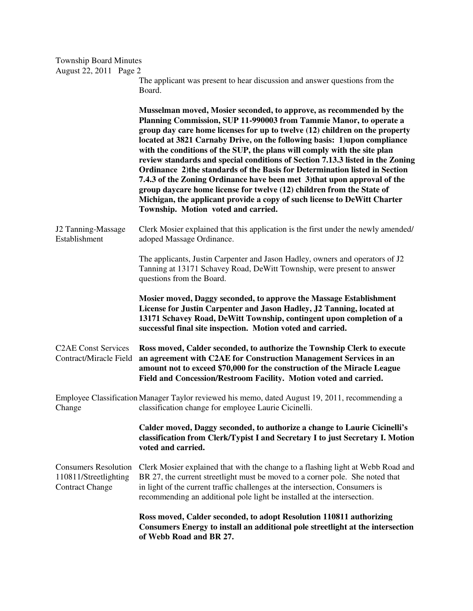| <b>Township Board Minutes</b>                                                  |                                                                                                                                                                                                                                                                                                                                                                                                                                                                                                                                                                                                                                                                                                                                                                                                                           |
|--------------------------------------------------------------------------------|---------------------------------------------------------------------------------------------------------------------------------------------------------------------------------------------------------------------------------------------------------------------------------------------------------------------------------------------------------------------------------------------------------------------------------------------------------------------------------------------------------------------------------------------------------------------------------------------------------------------------------------------------------------------------------------------------------------------------------------------------------------------------------------------------------------------------|
| August 22, 2011 Page 2                                                         | The applicant was present to hear discussion and answer questions from the<br>Board.                                                                                                                                                                                                                                                                                                                                                                                                                                                                                                                                                                                                                                                                                                                                      |
|                                                                                | Musselman moved, Mosier seconded, to approve, as recommended by the<br>Planning Commission, SUP 11-990003 from Tammie Manor, to operate a<br>group day care home licenses for up to twelve (12) children on the property<br>located at 3821 Carnaby Drive, on the following basis: 1)upon compliance<br>with the conditions of the SUP, the plans will comply with the site plan<br>review standards and special conditions of Section 7.13.3 listed in the Zoning<br>Ordinance 2) the standards of the Basis for Determination listed in Section<br>7.4.3 of the Zoning Ordinance have been met 3) that upon approval of the<br>group daycare home license for twelve (12) children from the State of<br>Michigan, the applicant provide a copy of such license to DeWitt Charter<br>Township. Motion voted and carried. |
| J2 Tanning-Massage<br>Establishment                                            | Clerk Mosier explained that this application is the first under the newly amended/<br>adoped Massage Ordinance.                                                                                                                                                                                                                                                                                                                                                                                                                                                                                                                                                                                                                                                                                                           |
|                                                                                | The applicants, Justin Carpenter and Jason Hadley, owners and operators of J2<br>Tanning at 13171 Schavey Road, DeWitt Township, were present to answer<br>questions from the Board.                                                                                                                                                                                                                                                                                                                                                                                                                                                                                                                                                                                                                                      |
|                                                                                | Mosier moved, Daggy seconded, to approve the Massage Establishment<br>License for Justin Carpenter and Jason Hadley, J2 Tanning, located at<br>13171 Schavey Road, DeWitt Township, contingent upon completion of a<br>successful final site inspection. Motion voted and carried.                                                                                                                                                                                                                                                                                                                                                                                                                                                                                                                                        |
| <b>C2AE Const Services</b><br>Contract/Miracle Field                           | Ross moved, Calder seconded, to authorize the Township Clerk to execute<br>an agreement with C2AE for Construction Management Services in an<br>amount not to exceed \$70,000 for the construction of the Miracle League<br>Field and Concession/Restroom Facility. Motion voted and carried.                                                                                                                                                                                                                                                                                                                                                                                                                                                                                                                             |
| Change                                                                         | Employee Classification Manager Taylor reviewed his memo, dated August 19, 2011, recommending a<br>classification change for employee Laurie Cicinelli.                                                                                                                                                                                                                                                                                                                                                                                                                                                                                                                                                                                                                                                                   |
|                                                                                | Calder moved, Daggy seconded, to authorize a change to Laurie Cicinelli's<br>classification from Clerk/Typist I and Secretary I to just Secretary I. Motion<br>voted and carried.                                                                                                                                                                                                                                                                                                                                                                                                                                                                                                                                                                                                                                         |
| <b>Consumers Resolution</b><br>110811/Streetlighting<br><b>Contract Change</b> | Clerk Mosier explained that with the change to a flashing light at Webb Road and<br>BR 27, the current streetlight must be moved to a corner pole. She noted that<br>in light of the current traffic challenges at the intersection, Consumers is<br>recommending an additional pole light be installed at the intersection.                                                                                                                                                                                                                                                                                                                                                                                                                                                                                              |
|                                                                                | Ross moved, Calder seconded, to adopt Resolution 110811 authorizing<br>Consumers Energy to install an additional pole streetlight at the intersection<br>of Webb Road and BR 27.                                                                                                                                                                                                                                                                                                                                                                                                                                                                                                                                                                                                                                          |